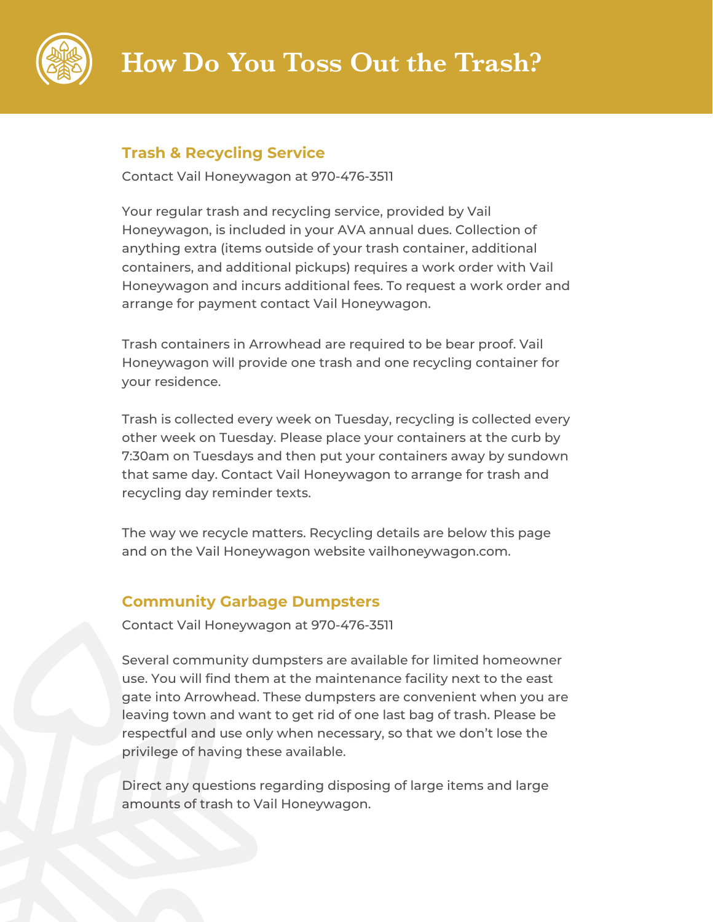

## **Trash & Recycling Service**

Contact Vail Honeywagon at 970-476-3511

Your regular trash and recycling service, provided by Vail Honeywagon, is included in your AVA annual dues. Collection of anything extra (items outside of your trash container, additional containers, and additional pickups) requires a work order with Vail Honeywagon and incurs additional fees. To request a work order and arrange for payment contact Vail Honeywagon.

Trash containers in Arrowhead are required to be bear proof. Vail Honeywagon will provide one trash and one recycling container for your residence.

Trash is collected every week on Tuesday, recycling is collected every other week on Tuesday. Please place your containers at the curb by 7:30am on Tuesdays and then put your containers away by sundown that same day. Contact Vail Honeywagon to arrange for trash and recycling day reminder texts.

The way we recycle matters. Recycling details are below this page and on the Vail Honeywagon website vailhoneywagon.com.

## **Community Garbage Dumpsters**

Contact Vail Honeywagon at 970-476-3511

Several community dumpsters are available for limited homeowner use. You will find them at the maintenance facility next to the east gate into Arrowhead. These dumpsters are convenient when you are leaving town and want to get rid of one last bag of trash. Please be respectful and use only when necessary, so that we don't lose the privilege of having these available.

Direct any questions regarding disposing of large items and large amounts of trash to Vail Honeywagon.